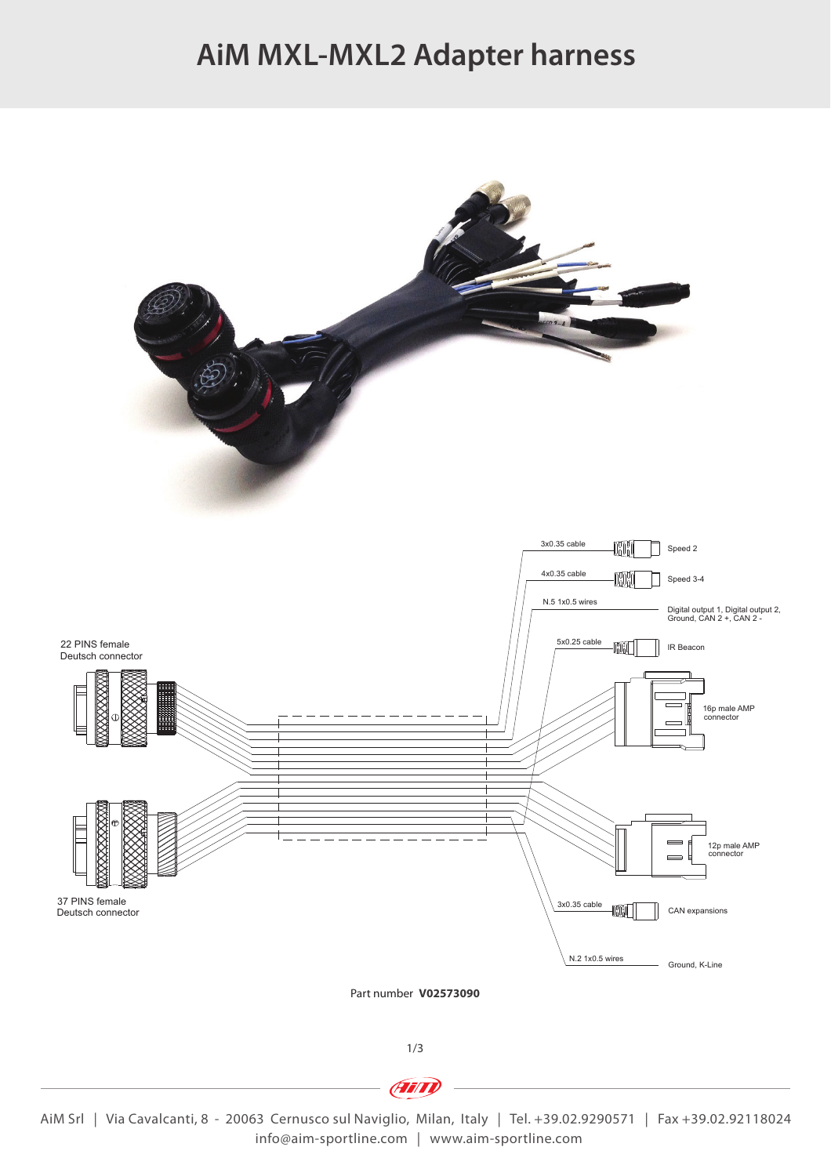# **AiM MXL-MXL2 Adapter harness**



**Frind** 

AiM Srl | Via Cavalcanti, 8 - 20063 Cernusco sul Naviglio, Milan, Italy | Tel. +39.02.9290571 | Fax +39.02.92118024 info@aim-sportline.com | www.aim-sportline.com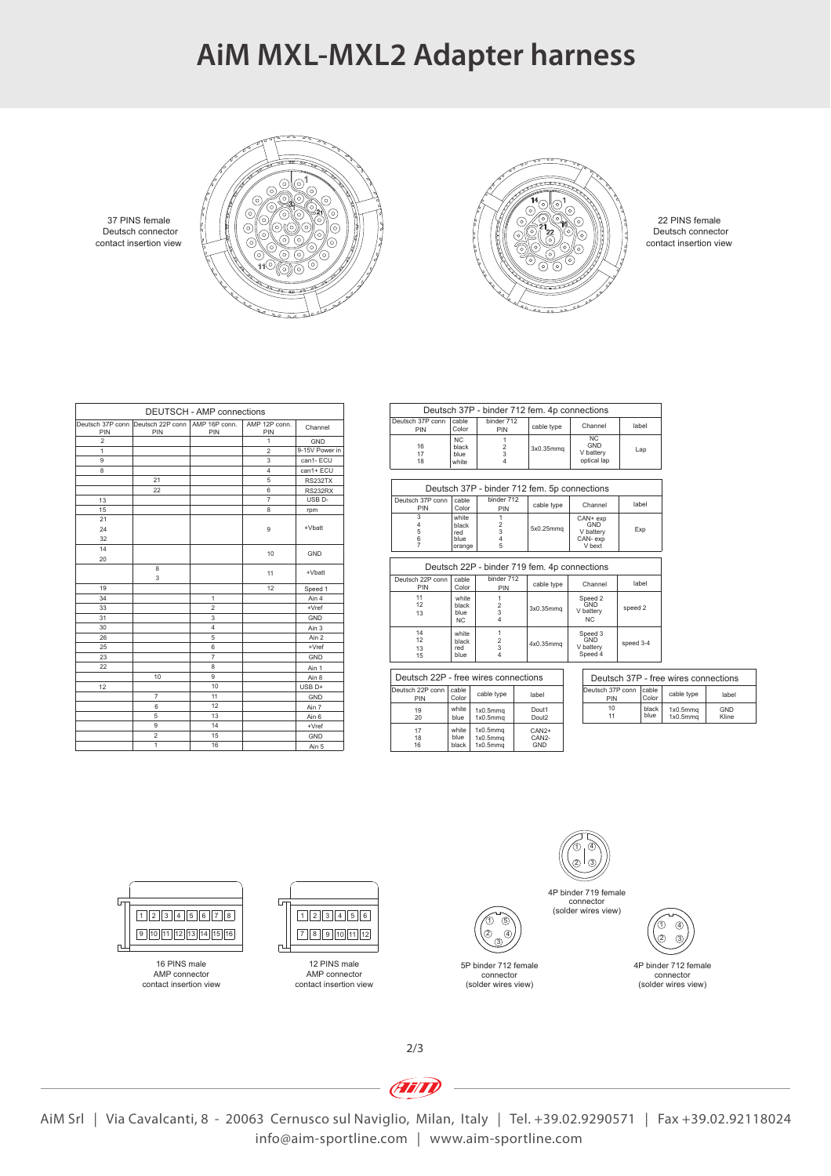### **AiM MXL-MXL2 Adapter harness**



contact insertion view Deutsch connector 37 PINS female

|                         |                                         | <b>DEUTSCH - AMP connections</b> |                      |                    |
|-------------------------|-----------------------------------------|----------------------------------|----------------------|--------------------|
| Deutsch 37P conn<br>PIN | Deutsch 22P conn   AMP 16P conn.<br>PIN | PIN                              | AMP 12P conn.<br>PIN | Channel            |
| $\mathfrak{p}$          |                                         |                                  | 1                    | GND                |
| 1                       |                                         |                                  | $\mathfrak{p}$       | 9-15V Power in     |
| 9                       |                                         |                                  | 3                    | can1-ECU           |
| 8                       |                                         |                                  | $\overline{4}$       | can1+ ECU          |
|                         | 21                                      |                                  | 5                    | <b>RS232TX</b>     |
|                         | 22                                      |                                  | 6                    | <b>RS232RX</b>     |
| 13                      |                                         |                                  | $\overline{7}$       | USB <sub>D</sub> - |
| 15                      |                                         |                                  | 8                    | rpm                |
| 21                      |                                         |                                  |                      |                    |
| 24                      |                                         |                                  | 9                    | +Vbatt             |
| 32                      |                                         |                                  |                      |                    |
| 14                      |                                         |                                  | 10                   | GND                |
| 20                      |                                         |                                  |                      |                    |
|                         | 8                                       |                                  | 11                   | +Vbatt             |
|                         | 3                                       |                                  |                      |                    |
| 19                      |                                         |                                  | 12                   | Speed 1            |
| 34                      |                                         | 1                                |                      | Ain 4              |
| 33                      |                                         | $\overline{2}$                   |                      | $+Vref$            |
| 31                      |                                         | 3                                |                      | GND                |
| 30                      |                                         | $\overline{4}$                   |                      | Ain 3              |

10 9 Ain 8<br>10 10 USB D+

7 | 11 | GND

1 16 | Ain 5

9 14 +Vref

> 6 5 2

|                                      |                                          | Deutsch 37P - binder 712 fem. 4p connections |                            |                                                   |           |                |                                              |                     |
|--------------------------------------|------------------------------------------|----------------------------------------------|----------------------------|---------------------------------------------------|-----------|----------------|----------------------------------------------|---------------------|
| Deutsch 37P conn<br>PIN              | cable<br>Color                           | binder 712<br>PIN                            | cable type                 | Channel                                           |           | label          |                                              |                     |
| 16<br>17<br>18                       | N <sub>C</sub><br>black<br>blue<br>white | 1<br>2<br>3<br>4                             | 3x0.35mmg                  | N <sub>C</sub><br>GND<br>V battery<br>optical lap |           | Lap            |                                              |                     |
|                                      |                                          |                                              |                            |                                                   |           |                |                                              |                     |
|                                      |                                          | Deutsch 37P - binder 712 fem. 5p connections |                            |                                                   |           |                |                                              |                     |
| Deutsch 37P conn<br>PIN              | cable<br>Color                           | binder 712<br>PIN                            | cable type                 | Channel                                           |           | label          |                                              |                     |
| 3<br>4<br>5<br>6                     | white<br>black<br>red<br>blue            | 1<br>$\overline{c}$<br>3<br>4                | 5x0.25mmg                  | CAN+ exp<br>GND<br>V battery<br>CAN-exp           |           | Exp            |                                              |                     |
| 7                                    | orange                                   | 5                                            |                            | V hext                                            |           |                |                                              |                     |
|                                      |                                          | Deutsch 22P - binder 719 fem. 4p connections |                            |                                                   |           |                |                                              |                     |
| Deutsch 22P conn<br>PIN              | cable<br>Color                           | binder 712<br>PIN                            | cable type                 | Channel                                           |           | label          |                                              |                     |
| 11<br>12<br>13                       | white<br>black<br>blue<br><b>NC</b>      | 1<br>$\overline{2}$<br>3<br>4                | 3x0.35mmg                  | Speed 2<br>GND<br>V battery<br>NC.                | speed 2   |                |                                              |                     |
| 14<br>12<br>13<br>15                 | white<br>black<br>red<br>blue            | 1<br>$\overline{2}$<br>3<br>4                | 4x0.35mmg                  | Speed 3<br>GND<br>V battery<br>Speed 4            | speed 3-4 |                |                                              |                     |
| Deutsch 22P - free wires connections |                                          |                                              |                            |                                                   |           |                | Deutsch 37P - free wires connections         |                     |
| Deutsch 22P conn<br>PIN              | cable<br>Color                           | cable type                                   | label                      | Deutsch 37P conn<br>PIN                           |           | cable<br>Color | cable type                                   | label               |
| 19<br>20                             | white<br>blue                            | 1x0.5mm <sub>q</sub><br>1x0.5mm <sub>a</sub> | Dout1<br>Dout <sub>2</sub> | 10<br>11                                          |           | black<br>blue  | 1x0.5mm <sub>a</sub><br>1x0.5mm <sub>a</sub> | GND<br><b>Kline</b> |

ெ

1x0.5mmq 1x0.5mmq 1x0.5mmq GND

5P binder 712 female connector (solder wires view)

 $\overline{a}$ 5 2 1  $\sqrt{3}$ 

CAN2+ CAN2-

| Deutsch 37P - free wires connections |                |                                  |              |  |  |  |  |
|--------------------------------------|----------------|----------------------------------|--------------|--|--|--|--|
| Deutsch 37P conn<br>PIN              | cable<br>Color | cable type                       | label        |  |  |  |  |
| 10                                   | black<br>blue  | 1x0.5mmq<br>1x0.5mm <sub>a</sub> | GND<br>Kline |  |  |  |  |

contact insertion view Deutsch connector 22 PINS female



contact insertion view AMP connector



Ain 2 +Vref GND Ain 1

Ain 7 Ain 6 GND

contact insertion view AMP connector



connector (solder wires view)



connector (solder wires view)

2/3

**Ain** 

17 16 18 black white blue

AiM Srl | Via Cavalcanti, 8 - 20063 Cernusco sul Naviglio, Milan, Italy | Tel. +39.02.9290571 | Fax +39.02.92118024 info@aim-sportline.com | www.aim-sportline.com